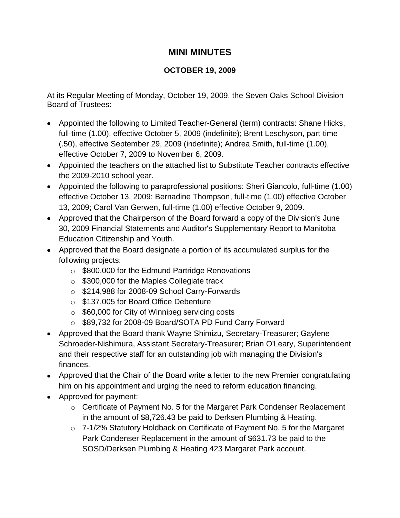## **MINI MINUTES**

## **OCTOBER 19, 2009**

At its Regular Meeting of Monday, October 19, 2009, the Seven Oaks School Division Board of Trustees:

- Appointed the following to Limited Teacher-General (term) contracts: Shane Hicks, full-time (1.00), effective October 5, 2009 (indefinite); Brent Leschyson, part-time (.50), effective September 29, 2009 (indefinite); Andrea Smith, full-time (1.00), effective October 7, 2009 to November 6, 2009.
- Appointed the teachers on the attached list to Substitute Teacher contracts effective the 2009-2010 school year.
- Appointed the following to paraprofessional positions: Sheri Giancolo, full-time (1.00) effective October 13, 2009; Bernadine Thompson, full-time (1.00) effective October 13, 2009; Carol Van Gerwen, full-time (1.00) effective October 9, 2009.
- Approved that the Chairperson of the Board forward a copy of the Division's June 30, 2009 Financial Statements and Auditor's Supplementary Report to Manitoba Education Citizenship and Youth.
- Approved that the Board designate a portion of its accumulated surplus for the following projects:
	- o \$800,000 for the Edmund Partridge Renovations
	- o \$300,000 for the Maples Collegiate track
	- o \$214,988 for 2008-09 School Carry-Forwards
	- o \$137,005 for Board Office Debenture
	- o \$60,000 for City of Winnipeg servicing costs
	- o \$89,732 for 2008-09 Board/SOTA PD Fund Carry Forward
- Approved that the Board thank Wayne Shimizu, Secretary-Treasurer; Gaylene Schroeder-Nishimura, Assistant Secretary-Treasurer; Brian O'Leary, Superintendent and their respective staff for an outstanding job with managing the Division's finances.
- Approved that the Chair of the Board write a letter to the new Premier congratulating him on his appointment and urging the need to reform education financing.
- Approved for payment:
	- o Certificate of Payment No. 5 for the Margaret Park Condenser Replacement in the amount of \$8,726.43 be paid to Derksen Plumbing & Heating.
	- o 7-1/2% Statutory Holdback on Certificate of Payment No. 5 for the Margaret Park Condenser Replacement in the amount of \$631.73 be paid to the SOSD/Derksen Plumbing & Heating 423 Margaret Park account.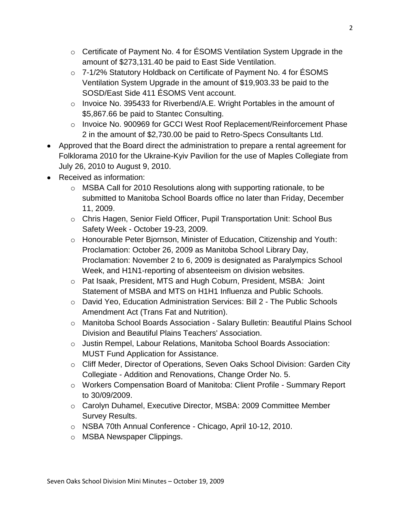- o Certificate of Payment No. 4 for ÉSOMS Ventilation System Upgrade in the amount of \$273,131.40 be paid to East Side Ventilation.
- o 7-1/2% Statutory Holdback on Certificate of Payment No. 4 for ÉSOMS Ventilation System Upgrade in the amount of \$19,903.33 be paid to the SOSD/East Side 411 ÉSOMS Vent account.
- o Invoice No. 395433 for Riverbend/A.E. Wright Portables in the amount of \$5,867.66 be paid to Stantec Consulting.
- o Invoice No. 900969 for GCCI West Roof Replacement/Reinforcement Phase 2 in the amount of \$2,730.00 be paid to Retro-Specs Consultants Ltd.
- Approved that the Board direct the administration to prepare a rental agreement for Folklorama 2010 for the Ukraine-Kyiv Pavilion for the use of Maples Collegiate from July 26, 2010 to August 9, 2010.
- Received as information:
	- o MSBA Call for 2010 Resolutions along with supporting rationale, to be submitted to Manitoba School Boards office no later than Friday, December 11, 2009.
	- o Chris Hagen, Senior Field Officer, Pupil Transportation Unit: School Bus Safety Week - October 19-23, 2009.
	- o Honourable Peter Bjornson, Minister of Education, Citizenship and Youth: Proclamation: October 26, 2009 as Manitoba School Library Day, Proclamation: November 2 to 6, 2009 is designated as Paralympics School Week, and H1N1-reporting of absenteeism on division websites.
	- o Pat Isaak, President, MTS and Hugh Coburn, President, MSBA: Joint Statement of MSBA and MTS on H1H1 Influenza and Public Schools.
	- o David Yeo, Education Administration Services: Bill 2 The Public Schools Amendment Act (Trans Fat and Nutrition).
	- o Manitoba School Boards Association Salary Bulletin: Beautiful Plains School Division and Beautiful Plains Teachers' Association.
	- o Justin Rempel, Labour Relations, Manitoba School Boards Association: MUST Fund Application for Assistance.
	- o Cliff Meder, Director of Operations, Seven Oaks School Division: Garden City Collegiate - Addition and Renovations, Change Order No. 5.
	- o Workers Compensation Board of Manitoba: Client Profile Summary Report to 30/09/2009.
	- o Carolyn Duhamel, Executive Director, MSBA: 2009 Committee Member Survey Results.
	- o NSBA 70th Annual Conference Chicago, April 10-12, 2010.
	- o MSBA Newspaper Clippings.